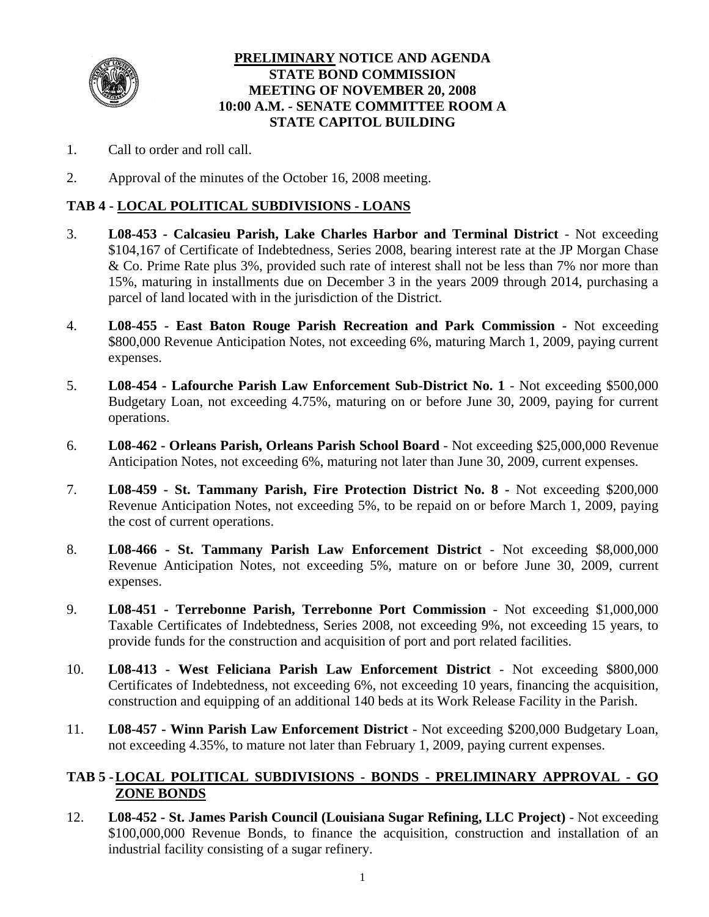

## **PRELIMINARY NOTICE AND AGENDA STATE BOND COMMISSION MEETING OF NOVEMBER 20, 2008 10:00 A.M. - SENATE COMMITTEE ROOM A STATE CAPITOL BUILDING**

- 1. Call to order and roll call.
- 2. Approval of the minutes of the October 16, 2008 meeting.

#### **TAB 4 - LOCAL POLITICAL SUBDIVISIONS - LOANS**

- 3. **L08-453 Calcasieu Parish, Lake Charles Harbor and Terminal District** Not exceeding \$104,167 of Certificate of Indebtedness, Series 2008, bearing interest rate at the JP Morgan Chase & Co. Prime Rate plus 3%, provided such rate of interest shall not be less than 7% nor more than 15%, maturing in installments due on December 3 in the years 2009 through 2014, purchasing a parcel of land located with in the jurisdiction of the District.
- 4. **L08-455 East Baton Rouge Parish Recreation and Park Commission -** Not exceeding \$800,000 Revenue Anticipation Notes, not exceeding 6%, maturing March 1, 2009, paying current expenses.
- 5. **L08-454 Lafourche Parish Law Enforcement Sub-District No. 1** Not exceeding \$500,000 Budgetary Loan, not exceeding 4.75%, maturing on or before June 30, 2009, paying for current operations.
- 6. **L08-462 Orleans Parish, Orleans Parish School Board** Not exceeding \$25,000,000 Revenue Anticipation Notes, not exceeding 6%, maturing not later than June 30, 2009, current expenses.
- 7. **L08-459 St. Tammany Parish, Fire Protection District No. 8** Not exceeding \$200,000 Revenue Anticipation Notes, not exceeding 5%, to be repaid on or before March 1, 2009, paying the cost of current operations.
- 8. **L08-466 St. Tammany Parish Law Enforcement District** Not exceeding \$8,000,000 Revenue Anticipation Notes, not exceeding 5%, mature on or before June 30, 2009, current expenses.
- 9. **L08-451 Terrebonne Parish, Terrebonne Port Commission** Not exceeding \$1,000,000 Taxable Certificates of Indebtedness, Series 2008, not exceeding 9%, not exceeding 15 years, to provide funds for the construction and acquisition of port and port related facilities.
- 10. **L08-413 West Feliciana Parish Law Enforcement District** Not exceeding \$800,000 Certificates of Indebtedness, not exceeding 6%, not exceeding 10 years, financing the acquisition, construction and equipping of an additional 140 beds at its Work Release Facility in the Parish.
- 11. **L08-457 Winn Parish Law Enforcement District** Not exceeding \$200,000 Budgetary Loan, not exceeding 4.35%, to mature not later than February 1, 2009, paying current expenses.

## **TAB 5 - LOCAL POLITICAL SUBDIVISIONS - BONDS - PRELIMINARY APPROVAL - GO ZONE BONDS**

12. **L08-452 - St. James Parish Council (Louisiana Sugar Refining, LLC Project)** - Not exceeding \$100,000,000 Revenue Bonds, to finance the acquisition, construction and installation of an industrial facility consisting of a sugar refinery.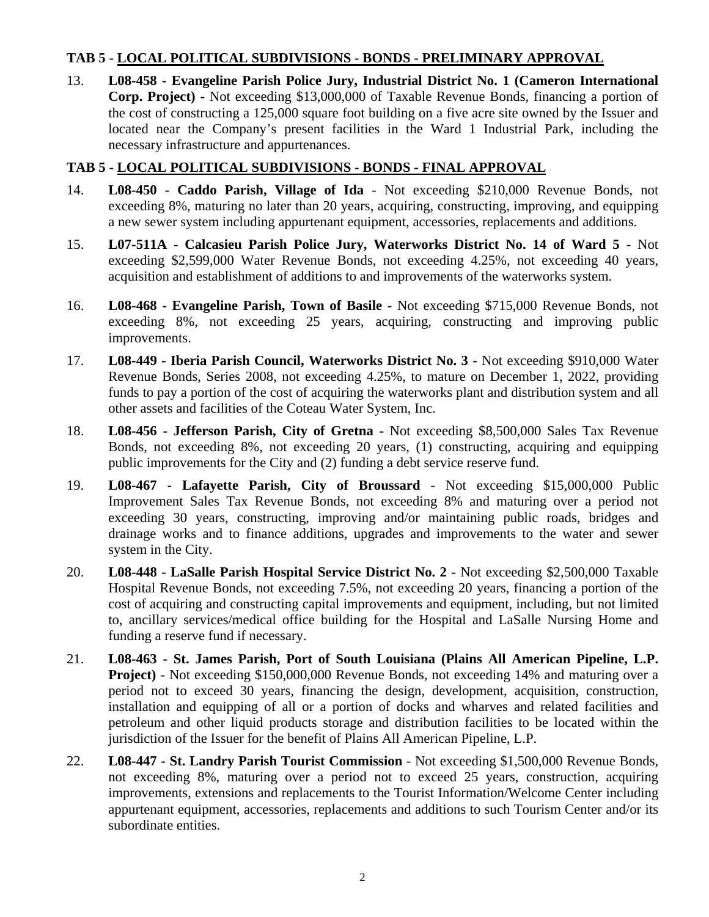## **TAB 5 - LOCAL POLITICAL SUBDIVISIONS - BONDS - PRELIMINARY APPROVAL**

13. **L08-458 - Evangeline Parish Police Jury, Industrial District No. 1 (Cameron International Corp. Project) -** Not exceeding \$13,000,000 of Taxable Revenue Bonds, financing a portion of the cost of constructing a 125,000 square foot building on a five acre site owned by the Issuer and located near the Company's present facilities in the Ward 1 Industrial Park, including the necessary infrastructure and appurtenances.

## **TAB 5 - LOCAL POLITICAL SUBDIVISIONS - BONDS - FINAL APPROVAL**

- 14. **L08-450 Caddo Parish, Village of Ida** Not exceeding \$210,000 Revenue Bonds, not exceeding 8%, maturing no later than 20 years, acquiring, constructing, improving, and equipping a new sewer system including appurtenant equipment, accessories, replacements and additions.
- 15. **L07-511A Calcasieu Parish Police Jury, Waterworks District No. 14 of Ward 5** Not exceeding \$2,599,000 Water Revenue Bonds, not exceeding 4.25%, not exceeding 40 years, acquisition and establishment of additions to and improvements of the waterworks system.
- 16. **L08-468 Evangeline Parish, Town of Basile** Not exceeding \$715,000 Revenue Bonds, not exceeding 8%, not exceeding 25 years, acquiring, constructing and improving public improvements.
- 17. **L08-449 Iberia Parish Council, Waterworks District No. 3** Not exceeding \$910,000 Water Revenue Bonds, Series 2008, not exceeding 4.25%, to mature on December 1, 2022, providing funds to pay a portion of the cost of acquiring the waterworks plant and distribution system and all other assets and facilities of the Coteau Water System, Inc.
- 18. **L08-456 Jefferson Parish, City of Gretna -** Not exceeding \$8,500,000 Sales Tax Revenue Bonds, not exceeding 8%, not exceeding 20 years, (1) constructing, acquiring and equipping public improvements for the City and (2) funding a debt service reserve fund.
- 19. **L08-467 Lafayette Parish, City of Broussard** Not exceeding \$15,000,000 Public Improvement Sales Tax Revenue Bonds, not exceeding 8% and maturing over a period not exceeding 30 years, constructing, improving and/or maintaining public roads, bridges and drainage works and to finance additions, upgrades and improvements to the water and sewer system in the City.
- 20. **L08-448 LaSalle Parish Hospital Service District No. 2** Not exceeding \$2,500,000 Taxable Hospital Revenue Bonds, not exceeding 7.5%, not exceeding 20 years, financing a portion of the cost of acquiring and constructing capital improvements and equipment, including, but not limited to, ancillary services/medical office building for the Hospital and LaSalle Nursing Home and funding a reserve fund if necessary.
- 21. **L08-463 St. James Parish, Port of South Louisiana (Plains All American Pipeline, L.P. Project)** - Not exceeding \$150,000,000 Revenue Bonds, not exceeding 14% and maturing over a period not to exceed 30 years, financing the design, development, acquisition, construction, installation and equipping of all or a portion of docks and wharves and related facilities and petroleum and other liquid products storage and distribution facilities to be located within the jurisdiction of the Issuer for the benefit of Plains All American Pipeline, L.P.
- 22. **L08-447 St. Landry Parish Tourist Commission** Not exceeding \$1,500,000 Revenue Bonds, not exceeding 8%, maturing over a period not to exceed 25 years, construction, acquiring improvements, extensions and replacements to the Tourist Information/Welcome Center including appurtenant equipment, accessories, replacements and additions to such Tourism Center and/or its subordinate entities.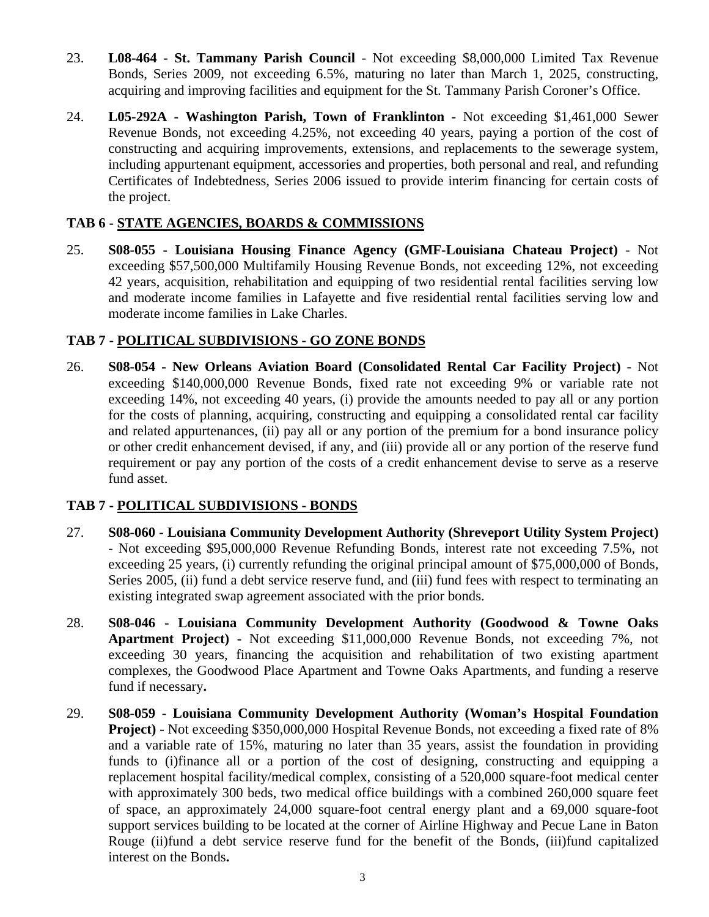- 23. **L08-464 St. Tammany Parish Council** Not exceeding \$8,000,000 Limited Tax Revenue Bonds, Series 2009, not exceeding 6.5%, maturing no later than March 1, 2025, constructing, acquiring and improving facilities and equipment for the St. Tammany Parish Coroner's Office.
- 24. **L05-292A Washington Parish, Town of Franklinton -** Not exceeding \$1,461,000 Sewer Revenue Bonds, not exceeding 4.25%, not exceeding 40 years, paying a portion of the cost of constructing and acquiring improvements, extensions, and replacements to the sewerage system, including appurtenant equipment, accessories and properties, both personal and real, and refunding Certificates of Indebtedness, Series 2006 issued to provide interim financing for certain costs of the project.

## **TAB 6 - STATE AGENCIES, BOARDS & COMMISSIONS**

25. **S08-055 - Louisiana Housing Finance Agency (GMF-Louisiana Chateau Project)** - Not exceeding \$57,500,000 Multifamily Housing Revenue Bonds, not exceeding 12%, not exceeding 42 years, acquisition, rehabilitation and equipping of two residential rental facilities serving low and moderate income families in Lafayette and five residential rental facilities serving low and moderate income families in Lake Charles.

## **TAB 7 - POLITICAL SUBDIVISIONS - GO ZONE BONDS**

26. **S08-054 - New Orleans Aviation Board (Consolidated Rental Car Facility Project)** - Not exceeding \$140,000,000 Revenue Bonds, fixed rate not exceeding 9% or variable rate not exceeding 14%, not exceeding 40 years, (i) provide the amounts needed to pay all or any portion for the costs of planning, acquiring, constructing and equipping a consolidated rental car facility and related appurtenances, (ii) pay all or any portion of the premium for a bond insurance policy or other credit enhancement devised, if any, and (iii) provide all or any portion of the reserve fund requirement or pay any portion of the costs of a credit enhancement devise to serve as a reserve fund asset.

## **TAB 7 - POLITICAL SUBDIVISIONS - BONDS**

- 27. **S08-060 Louisiana Community Development Authority (Shreveport Utility System Project)** - Not exceeding \$95,000,000 Revenue Refunding Bonds, interest rate not exceeding 7.5%, not exceeding 25 years, (i) currently refunding the original principal amount of \$75,000,000 of Bonds, Series 2005, (ii) fund a debt service reserve fund, and (iii) fund fees with respect to terminating an existing integrated swap agreement associated with the prior bonds.
- 28. **S08-046 Louisiana Community Development Authority (Goodwood & Towne Oaks Apartment Project) -** Not exceeding \$11,000,000 Revenue Bonds, not exceeding 7%, not exceeding 30 years, financing the acquisition and rehabilitation of two existing apartment complexes, the Goodwood Place Apartment and Towne Oaks Apartments, and funding a reserve fund if necessary**.**
- 29. **S08-059 Louisiana Community Development Authority (Woman's Hospital Foundation Project)** - Not exceeding \$350,000,000 Hospital Revenue Bonds, not exceeding a fixed rate of 8% and a variable rate of 15%, maturing no later than 35 years, assist the foundation in providing funds to (i)finance all or a portion of the cost of designing, constructing and equipping a replacement hospital facility/medical complex, consisting of a 520,000 square-foot medical center with approximately 300 beds, two medical office buildings with a combined 260,000 square feet of space, an approximately 24,000 square-foot central energy plant and a 69,000 square-foot support services building to be located at the corner of Airline Highway and Pecue Lane in Baton Rouge (ii)fund a debt service reserve fund for the benefit of the Bonds, (iii)fund capitalized interest on the Bonds**.**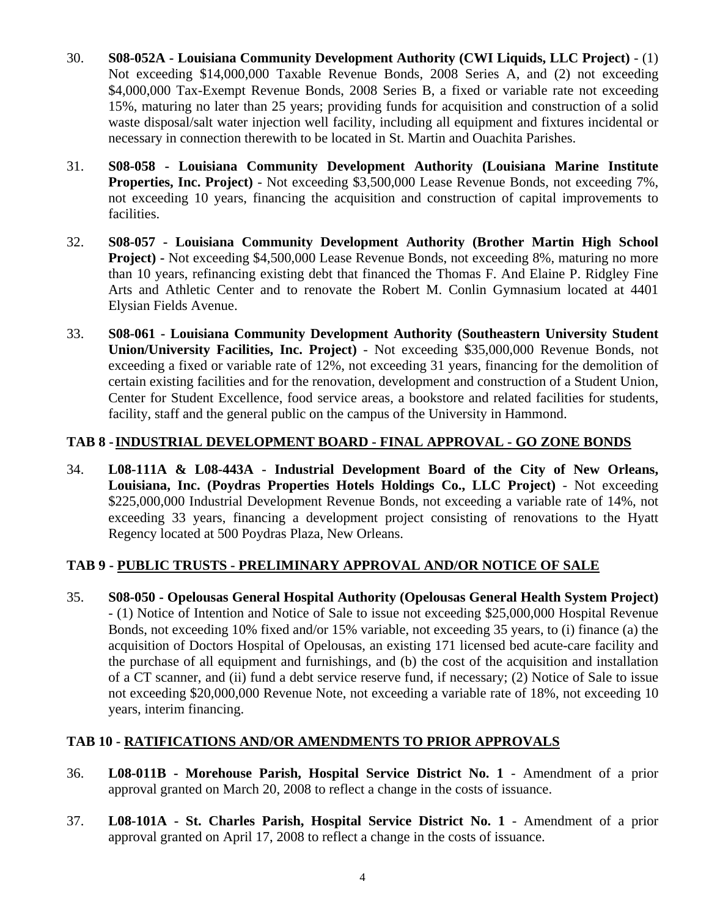- 30. **S08-052A Louisiana Community Development Authority (CWI Liquids, LLC Project)** (1) Not exceeding \$14,000,000 Taxable Revenue Bonds, 2008 Series A, and (2) not exceeding \$4,000,000 Tax-Exempt Revenue Bonds, 2008 Series B, a fixed or variable rate not exceeding 15%, maturing no later than 25 years; providing funds for acquisition and construction of a solid waste disposal/salt water injection well facility, including all equipment and fixtures incidental or necessary in connection therewith to be located in St. Martin and Ouachita Parishes.
- 31. **S08-058 Louisiana Community Development Authority (Louisiana Marine Institute Properties, Inc. Project)** - Not exceeding \$3,500,000 Lease Revenue Bonds, not exceeding 7%, not exceeding 10 years, financing the acquisition and construction of capital improvements to facilities.
- 32. **S08-057 Louisiana Community Development Authority (Brother Martin High School Project) -** Not exceeding \$4,500,000 Lease Revenue Bonds, not exceeding 8%, maturing no more than 10 years, refinancing existing debt that financed the Thomas F. And Elaine P. Ridgley Fine Arts and Athletic Center and to renovate the Robert M. Conlin Gymnasium located at 4401 Elysian Fields Avenue.
- 33. **S08-061 Louisiana Community Development Authority (Southeastern University Student Union/University Facilities, Inc. Project)** - Not exceeding \$35,000,000 Revenue Bonds, not exceeding a fixed or variable rate of 12%, not exceeding 31 years, financing for the demolition of certain existing facilities and for the renovation, development and construction of a Student Union, Center for Student Excellence, food service areas, a bookstore and related facilities for students, facility, staff and the general public on the campus of the University in Hammond.

## **TAB 8 - INDUSTRIAL DEVELOPMENT BOARD - FINAL APPROVAL - GO ZONE BONDS**

34. **L08-111A & L08-443A - Industrial Development Board of the City of New Orleans, Louisiana, Inc. (Poydras Properties Hotels Holdings Co., LLC Project)** - Not exceeding \$225,000,000 Industrial Development Revenue Bonds, not exceeding a variable rate of 14%, not exceeding 33 years, financing a development project consisting of renovations to the Hyatt Regency located at 500 Poydras Plaza, New Orleans.

# **TAB 9 - PUBLIC TRUSTS - PRELIMINARY APPROVAL AND/OR NOTICE OF SALE**

35. **S08-050 - Opelousas General Hospital Authority (Opelousas General Health System Project)** - (1) Notice of Intention and Notice of Sale to issue not exceeding \$25,000,000 Hospital Revenue Bonds, not exceeding 10% fixed and/or 15% variable, not exceeding 35 years, to (i) finance (a) the acquisition of Doctors Hospital of Opelousas, an existing 171 licensed bed acute-care facility and the purchase of all equipment and furnishings, and (b) the cost of the acquisition and installation of a CT scanner, and (ii) fund a debt service reserve fund, if necessary; (2) Notice of Sale to issue not exceeding \$20,000,000 Revenue Note, not exceeding a variable rate of 18%, not exceeding 10 years, interim financing.

## **TAB 10 - RATIFICATIONS AND/OR AMENDMENTS TO PRIOR APPROVALS**

- 36. **L08-011B Morehouse Parish, Hospital Service District No. 1** Amendment of a prior approval granted on March 20, 2008 to reflect a change in the costs of issuance.
- 37. **L08-101A St. Charles Parish, Hospital Service District No. 1** Amendment of a prior approval granted on April 17, 2008 to reflect a change in the costs of issuance.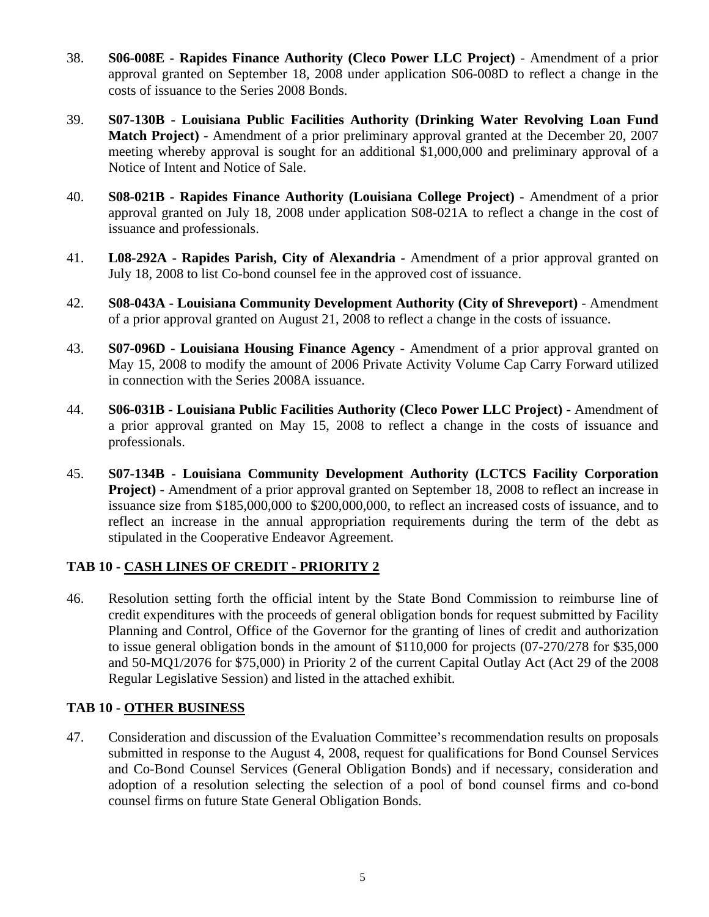- 38. **S06-008E Rapides Finance Authority (Cleco Power LLC Project)** Amendment of a prior approval granted on September 18, 2008 under application S06-008D to reflect a change in the costs of issuance to the Series 2008 Bonds.
- 39. **S07-130B Louisiana Public Facilities Authority (Drinking Water Revolving Loan Fund Match Project)** - Amendment of a prior preliminary approval granted at the December 20, 2007 meeting whereby approval is sought for an additional \$1,000,000 and preliminary approval of a Notice of Intent and Notice of Sale.
- 40. **S08-021B Rapides Finance Authority (Louisiana College Project)** Amendment of a prior approval granted on July 18, 2008 under application S08-021A to reflect a change in the cost of issuance and professionals.
- 41. **L08-292A Rapides Parish, City of Alexandria -** Amendment of a prior approval granted on July 18, 2008 to list Co-bond counsel fee in the approved cost of issuance.
- 42. **S08-043A Louisiana Community Development Authority (City of Shreveport)** Amendment of a prior approval granted on August 21, 2008 to reflect a change in the costs of issuance.
- 43. **S07-096D Louisiana Housing Finance Agency** Amendment of a prior approval granted on May 15, 2008 to modify the amount of 2006 Private Activity Volume Cap Carry Forward utilized in connection with the Series 2008A issuance.
- 44. **S06-031B Louisiana Public Facilities Authority (Cleco Power LLC Project)** Amendment of a prior approval granted on May 15, 2008 to reflect a change in the costs of issuance and professionals.
- 45. **S07-134B Louisiana Community Development Authority (LCTCS Facility Corporation Project)** - Amendment of a prior approval granted on September 18, 2008 to reflect an increase in issuance size from \$185,000,000 to \$200,000,000, to reflect an increased costs of issuance, and to reflect an increase in the annual appropriation requirements during the term of the debt as stipulated in the Cooperative Endeavor Agreement.

# **TAB 10 - CASH LINES OF CREDIT - PRIORITY 2**

46. Resolution setting forth the official intent by the State Bond Commission to reimburse line of credit expenditures with the proceeds of general obligation bonds for request submitted by Facility Planning and Control, Office of the Governor for the granting of lines of credit and authorization to issue general obligation bonds in the amount of \$110,000 for projects (07-270/278 for \$35,000 and 50-MQ1/2076 for \$75,000) in Priority 2 of the current Capital Outlay Act (Act 29 of the 2008 Regular Legislative Session) and listed in the attached exhibit.

## **TAB 10 - OTHER BUSINESS**

47. Consideration and discussion of the Evaluation Committee's recommendation results on proposals submitted in response to the August 4, 2008, request for qualifications for Bond Counsel Services and Co-Bond Counsel Services (General Obligation Bonds) and if necessary, consideration and adoption of a resolution selecting the selection of a pool of bond counsel firms and co-bond counsel firms on future State General Obligation Bonds.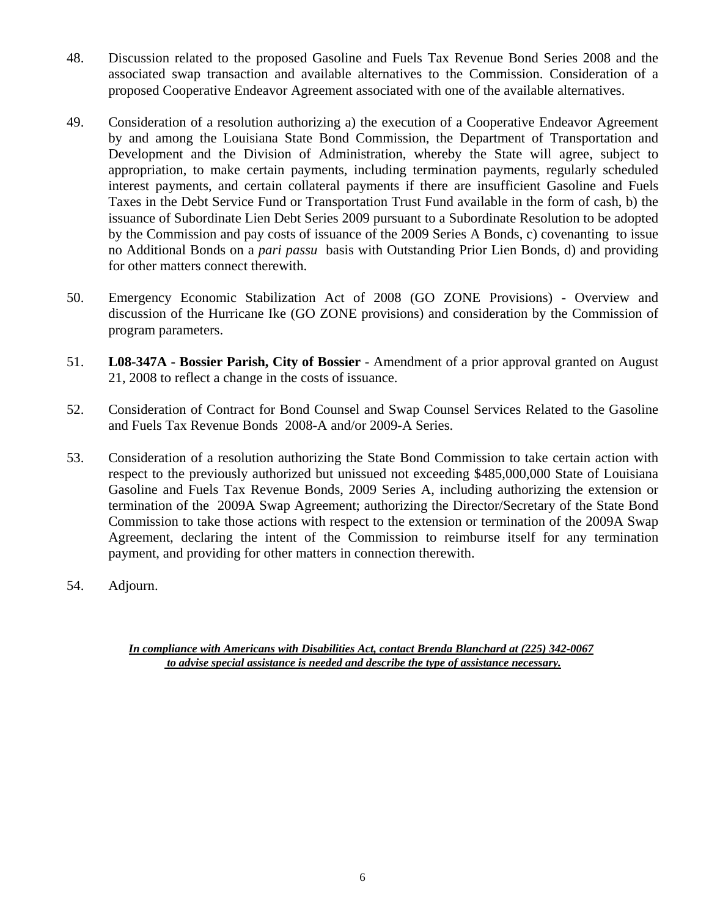- 48. Discussion related to the proposed Gasoline and Fuels Tax Revenue Bond Series 2008 and the associated swap transaction and available alternatives to the Commission. Consideration of a proposed Cooperative Endeavor Agreement associated with one of the available alternatives.
- 49. Consideration of a resolution authorizing a) the execution of a Cooperative Endeavor Agreement by and among the Louisiana State Bond Commission, the Department of Transportation and Development and the Division of Administration, whereby the State will agree, subject to appropriation, to make certain payments, including termination payments, regularly scheduled interest payments, and certain collateral payments if there are insufficient Gasoline and Fuels Taxes in the Debt Service Fund or Transportation Trust Fund available in the form of cash, b) the issuance of Subordinate Lien Debt Series 2009 pursuant to a Subordinate Resolution to be adopted by the Commission and pay costs of issuance of the 2009 Series A Bonds, c) covenanting to issue no Additional Bonds on a *pari passu* basis with Outstanding Prior Lien Bonds, d) and providing for other matters connect therewith.
- 50. Emergency Economic Stabilization Act of 2008 (GO ZONE Provisions) Overview and discussion of the Hurricane Ike (GO ZONE provisions) and consideration by the Commission of program parameters.
- 51. **L08-347A Bossier Parish, City of Bossier** Amendment of a prior approval granted on August 21, 2008 to reflect a change in the costs of issuance.
- 52. Consideration of Contract for Bond Counsel and Swap Counsel Services Related to the Gasoline and Fuels Tax Revenue Bonds 2008-A and/or 2009-A Series.
- 53. Consideration of a resolution authorizing the State Bond Commission to take certain action with respect to the previously authorized but unissued not exceeding \$485,000,000 State of Louisiana Gasoline and Fuels Tax Revenue Bonds, 2009 Series A, including authorizing the extension or termination of the 2009A Swap Agreement; authorizing the Director/Secretary of the State Bond Commission to take those actions with respect to the extension or termination of the 2009A Swap Agreement, declaring the intent of the Commission to reimburse itself for any termination payment, and providing for other matters in connection therewith.
- 54. Adjourn.

*In compliance with Americans with Disabilities Act, contact Brenda Blanchard at (225) 342-0067 to advise special assistance is needed and describe the type of assistance necessary.*